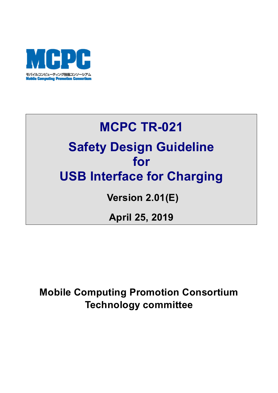

# **MCPC TR-021 Safety Design Guideline for USB Interface for Charging**

## **Version 2.01(E)**

## **April 25, 2019**

## **Mobile Computing Promotion Consortium Technology committee**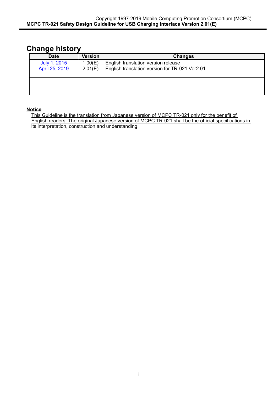### **Change history**

| -              |                |                                                |
|----------------|----------------|------------------------------------------------|
| <b>Date</b>    | <b>Version</b> | <b>Changes</b>                                 |
| July 1, 2015   | 1.00(E)        | English translation version release            |
| April 25, 2019 | 2.01(E)        | English translation version for TR-021 Ver2.01 |
|                |                |                                                |
|                |                |                                                |
|                |                |                                                |
|                |                |                                                |

#### **Notice**

This Guideline is the translation from Japanese version of MCPC TR-021 only for the benefit of English readers. The original Japanese version of MCPC TR-021 shall be the official specifications in its interpretation, construction and understanding.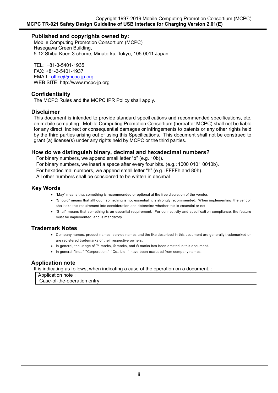#### **Published and copyrights owned by:**

Mobile Computing Promotion Consortium (MCPC) Hasegawa Green Building, 5-12 Shiba-Koen 3-chome, Minato-ku, Tokyo, 105-0011 Japan

TEL: +81-3-5401-1935 FAX: +81-3-5401-1937 EMAIL: office@mcpc-jp.org WEB SITE: http://www.mcpc-jp.org

#### **Confidentiality**

The MCPC Rules and the MCPC IPR Policy shall apply.

#### **Disclaimer**

This document is intended to provide standard specifications and recommended specifications, etc. on mobile computing. Mobile Computing Promotion Consortium (hereafter MCPC) shall not be liable for any direct, indirect or consequential damages or infringements to patents or any other rights held by the third parties arising out of using this Specifications. This document shall not be construed to grant (a) license(s) under any rights held by MCPC or the third parties.

#### **How do we distinguish binary, decimal and hexadecimal numbers?**

For binary numbers, we append small letter "b" (e.g. 10b)).

For binary numbers, we insert a space after every four bits. (e.g.:1000 0101 0010b).

For hexadecimal numbers, we append small letter "h" (e.g.:FFFFh and 80h).

All other numbers shall be considered to be written in decimal.

#### **Key Words**

- "May" means that something is recommended or optional at the free discretion of the vendor.
- "Should" means that although something is not essential, it is strongly recommended. When implementing, the vendor shall take this requirement into consideration and determine whether this is essential or not.
- "Shall" means that something is an essential requirement. For connectivity and specificati on compliance, the feature must be implemented, and is mandatory.

#### **Trademark Notes**

- Company names, product names, service names and the like described in this document are generally trademarked or are registered trademarks of their respective owners.
- In general, the usage of ™ marks, © marks, and ® marks has been omitted in this document.
- In general "Inc.," "Corporation," "Co., Ltd.," have been excluded from company names.

#### **Application note**

It is indicating as follows, when indicating a case of the operation on a document. :

Application note : Case-of-the-operation entry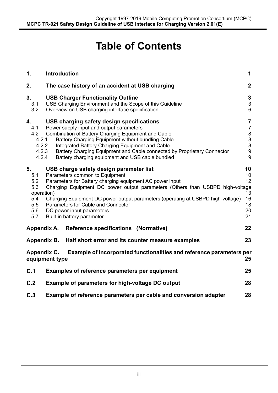## **Table of Contents**

| 1.                                                                | <b>Introduction</b><br>1                                                                                                                                                                                                                                                                                                                                                                                   |                                                                                            |  |
|-------------------------------------------------------------------|------------------------------------------------------------------------------------------------------------------------------------------------------------------------------------------------------------------------------------------------------------------------------------------------------------------------------------------------------------------------------------------------------------|--------------------------------------------------------------------------------------------|--|
| 2.                                                                | $\mathbf{2}$<br>The case history of an accident at USB charging                                                                                                                                                                                                                                                                                                                                            |                                                                                            |  |
| 3.<br>3.1<br>3.2                                                  | <b>USB Charger Functionality Outline</b><br>USB Charging Environment and the Scope of this Guideline<br>Overview on USB charging interface specification                                                                                                                                                                                                                                                   | $\mathbf 3$<br>$\ensuremath{\mathsf{3}}$<br>6                                              |  |
| 4.<br>4.1<br>4.2<br>4.2.1<br>4.2.2<br>4.2.3<br>4.2.4              | USB charging safety design specifications<br>Power supply input and output parameters<br>Combination of Battery Charging Equipment and Cable<br>Battery Charging Equipment without bundling Cable<br>Integrated Battery Charging Equipment and Cable<br>Battery Charging Equipment and Cable connected by Proprietary Connector<br>Battery charging equipment and USB cable bundled                        | $\overline{7}$<br>$\overline{7}$<br>$\bf 8$<br>$\bf 8$<br>$\bf 8$<br>$\boldsymbol{9}$<br>9 |  |
| 5.<br>5.1<br>5.2<br>5.3<br>operation)<br>5.4<br>5.5<br>5.6<br>5.7 | USB charge safety design parameter list<br>Parameters common to Equipment<br>Parameters for Battery charging equipment AC power input<br>Charging Equipment DC power output parameters (Others than USBPD high-voltage<br>Charging Equipment DC power output parameters (operating at USBPD high-voltage)<br>Parameters for Cable and Connector<br>DC power input parameters<br>Built-in battery parameter | 10<br>10<br>12<br>13<br>16<br>18<br>20<br>21                                               |  |
| Appendix A.                                                       | <b>Reference specifications (Normative)</b>                                                                                                                                                                                                                                                                                                                                                                | 22                                                                                         |  |
|                                                                   | Half short error and its counter measure examples<br>Appendix B.                                                                                                                                                                                                                                                                                                                                           | 23                                                                                         |  |
|                                                                   | Example of incorporated functionalities and reference parameters per<br>Appendix C.<br>equipment type                                                                                                                                                                                                                                                                                                      | 25                                                                                         |  |
| C.1                                                               | Examples of reference parameters per equipment                                                                                                                                                                                                                                                                                                                                                             | 25                                                                                         |  |
| C.2                                                               | Example of parameters for high-voltage DC output                                                                                                                                                                                                                                                                                                                                                           | 28                                                                                         |  |
| C.3                                                               | Example of reference parameters per cable and conversion adapter<br>28                                                                                                                                                                                                                                                                                                                                     |                                                                                            |  |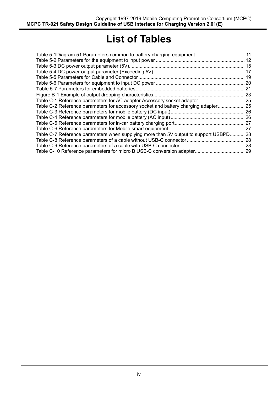## **List of Tables**

| Table 5-1Diagram 51 Parameters common to battery charging equipment11                 |  |
|---------------------------------------------------------------------------------------|--|
|                                                                                       |  |
|                                                                                       |  |
|                                                                                       |  |
|                                                                                       |  |
|                                                                                       |  |
|                                                                                       |  |
|                                                                                       |  |
|                                                                                       |  |
| Table C-2 Reference parameters for accessory socket and battery charging adapter 25   |  |
|                                                                                       |  |
|                                                                                       |  |
|                                                                                       |  |
|                                                                                       |  |
| Table C-7 Reference parameters when supplying more than 5V output to support USBPD 28 |  |
|                                                                                       |  |
|                                                                                       |  |
|                                                                                       |  |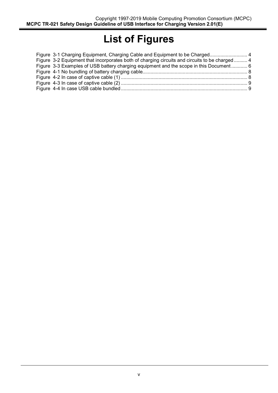## **List of Figures**

| Figure 3-1 Charging Equipment, Charging Cable and Equipment to be Charged 4                   |  |
|-----------------------------------------------------------------------------------------------|--|
| Figure 3-2 Equipment that incorporates both of charging circuits and circuits to be charged 4 |  |
| Figure 3-3 Examples of USB battery charging equipment and the scope in this Document 6        |  |
|                                                                                               |  |
|                                                                                               |  |
|                                                                                               |  |
|                                                                                               |  |
|                                                                                               |  |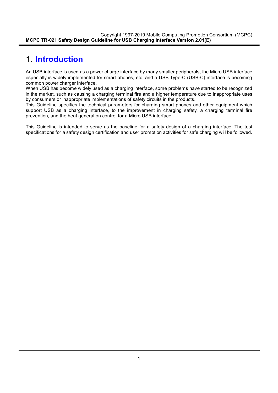### 1. **Introduction**

An USB interface is used as a power charge interface by many smaller peripherals, the Micro USB interface especially is widely implemented for smart phones, etc. and a USB Type-C (USB-C) interface is becoming common power charger interface.

When USB has become widely used as a charging interface, some problems have started to be recognized in the market, such as causing a charging terminal fire and a higher temperature due to inappropriate uses by consumers or inappropriate implementations of safety circuits in the products.

This Guideline specifies the technical parameters for charging smart phones and other equipment which support USB as a charging interface, to the improvement in charging safety, a charging terminal fire prevention, and the heat generation control for a Micro USB interface.

This Guideline is intended to serve as the baseline for a safety design of a charging interface. The test specifications for a safety design certification and user promotion activities for safe charging will be followed.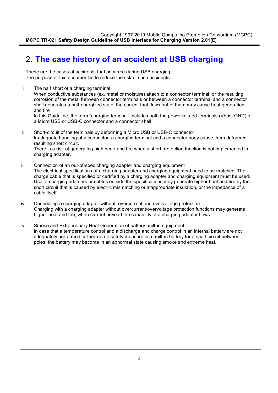### 2. **The case history of an accident at USB charging**

These are the cases of accidents that occurred during USB charging. The purpose of this document is to reduce the risk of such accidents.

- i. The half short of a charging terminal When conductive substances (ex. metal or moisture) attach to a connector terminal, or the resulting corrosion of the metal between connector terminals or between a connector terminal and a connector shell generates a half-energized state, the current that flows out of them may cause heat generation and fire . In this Guideline, the term "charging terminal" includes both the power related terminals (Vbus, GND) of a Micro USB or USB-C connector and a connector shell.
- ii. Short-circuit of the terminals by deforming a Micro USB or USB-C connector Inadequate handling of a connector, a charging terminal and a connector body cause them deformed resulting short circuit. There is a risk of generating high heart and fire when a short protection function is not implemented in charging adapter.
- iii. Connection of an out-of-spec charging adapter and charging equipment The electrical specifications of a charging adapter and charging equipment need to be matched. The charge cable that is specified or certified by a charging adapter and charging equipment must be used. Use of charging adapters or cables outside the specifications may generate higher heat and fire by the short circuit that is caused by electric mismatching or inappropriate insulation, or the impedance of a cable itself.
- iv. Connecting a charging adapter without overcurrent and overvoltage protection Charging with a charging adapter without overcurrent/overvoltage protection functions may generate higher heat and fire, when current beyond the capability of a charging adapter flows.
- v. Smoke and Extraordinary Heat Generation of battery built-in equipment In case that a temperature control and a discharge and charge control in an internal battery are not adequately performed or there is no safety measure in a built-in battery for a short circuit between poles, the battery may become in an abnormal state causing smoke and extreme heat.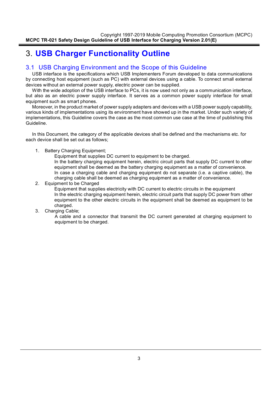## 3. **USB Charger Functionality Outline**

#### 3.1 USB Charging Environment and the Scope of this Guideline

USB interface is the specifications which USB Implementers Forum developed to data communications by connecting host equipment (such as PC) with external devices using a cable. To connect small external devices without an external power supply, electric power can be supplied.

With the wide adoption of the USB interface to PCs, it is now used not only as a communication interface, but also as an electric power supply interface. It serves as a common power supply interface for small equipment such as smart phones.

Moreover, in the product market of power supply adapters and devices with a USB power supply capability, various kinds of implementations using its environment have showed up in the market. Under such variety of implementations, this Guideline covers the case as the most common use case at the time of publishing this Guideline.

In this Document, the category of the applicable devices shall be defined and the mechanisms etc. for each device shall be set out as follows;

1. Battery Charging Equipment;

Equipment that supplies DC current to equipment to be charged.

In the battery charging equipment herein, electric circuit parts that supply DC current to other equipment shall be deemed as the battery charging equipment as a matter of convenience. In case a charging cable and charging equipment do not separate (i.e. a captive cable), the charging cable shall be deemed as charging equipment as a matter of convenience.

2. Equipment to be Charged

Equipment that supplies electricity with DC current to electric circuits in the equipment In the electric charging equipment herein, electric circuit parts that supply DC power from other equipment to the other electric circuits in the equipment shall be deemed as equipment to be charged.

3. Charging Cable;

A cable and a connector that transmit the DC current generated at charging equipment to equipment to be charged.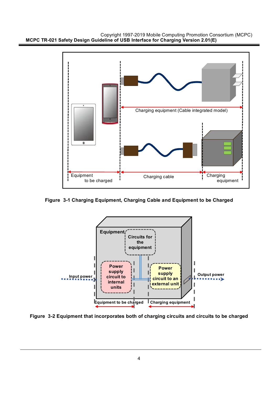



**Figure 3-1 Charging Equipment, Charging Cable and Equipment to be Charged**



**Figure 3-2 Equipment that incorporates both of charging circuits and circuits to be charged**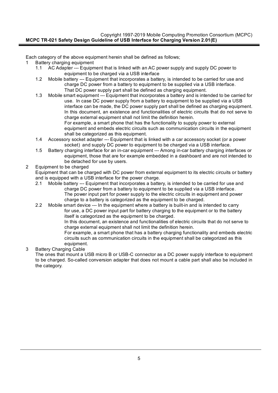Each category of the above equipment herein shall be defined as follows;

- Battery charging equipment
	- 1.1 AC Adapter --- Equipment that is linked with an AC power supply and supply DC power to equipment to be charged via a USB interface
	- 1.2 Mobile battery --- Equipment that incorporates a battery, is intended to be carried for use and charge DC power from a battery to equipment to be supplied via a USB interface. That DC power supply part shall be defined as charging equipment.
	- 1.3 Mobile smart equipment --- Equipment that incorporates a battery and is intended to be carried for use. In case DC power supply from a battery to equipment to be supplied via a USB interface can be made, the DC power supply part shall be defined as charging equipment. In this document, an existence and functionalities of electric circuits that do not serve to charge external equipment shall not limit the definition herein. For example, a smart phone that has the functionality to supply power to external equipment and embeds electric circuits such as communication circuits in the equipment shall be categorized as this equipment.
	- 1.4 Accessory socket adapter --- Equipment that is linked with a car accessory socket (or a power socket) and supply DC power to equipment to be charged via a USB interface.
	- 1.5 Battery charging interface for an in-car equipment --- Among in-car battery charging interfaces or equipment, those that are for example embedded in a dashboard and are not intended to be detached for use by users.

#### 2 Equipment to be charged

Equipment that can be charged with DC power from external equipment to its electric circuits or battery and is equipped with a USB interface for the power charge.

- 2.1 Mobile battery --- Equipment that incorporates a battery, is intended to be carried for use and charge DC power from a battery to equipment to be supplied via a USB interface. The power input part for power supply to the electric circuits in equipment and power charge to a battery is categorized as the equipment to be charged.
- 2.2 Mobile smart device --- In the equipment where a battery is built-in and is intended to carry for use, a DC power input part for battery charging to the equipment or to the battery itself is categorized as the equipment to be charged.

In this document, an existence and functionalities of electric circuits that do not serve to charge external equipment shall not limit the definition herein.

For example, a smart phone that has a battery charging functionality and embeds electric circuits such as communication circuits in the equipment shall be categorized as this equipment.

3 Battery Charging Cable

The ones that mount a USB micro B or USB-C connector as a DC power supply interface to equipment to be charged. So-called conversion adapter that does not mount a cable part shall also be included in the category.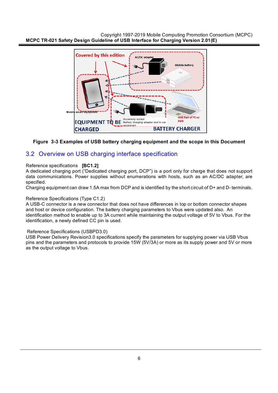

#### **Figure 3-3 Examples of USB battery charging equipment and the scope in this Document**

#### 3.2 Overview on USB charging interface specification

#### Reference specifications **[BC1.2]**

A dedicated charging port ("Dedicated charging port, DCP") is a port only for charge that does not support data communications. Power supplies without enumerations with hosts, such as an AC/DC adapter, are specified.

Charging equipment can draw 1.5A max from DCP and is identified by the short circuit of D+ and D- terminals.

#### Reference Specifications (Type C1.2)

A USB-C connector is a new connector that does not have differences in top or bottom connector shapes and host or device configuration. The battery charging parameters to Vbus were updated also. An identification method to enable up to 3A current while maintaining the output voltage of 5V to Vbus. For the identification, a newly defined CC pin is used.

#### Reference Specifications (USBPD3.0)

USB Power Delivery Revision3.0 specifications specify the parameters for supplying power via USB Vbus pins and the parameters and protocols to provide 15W (5V/3A) or more as its supply power and 5V or more as the output voltage to Vbus.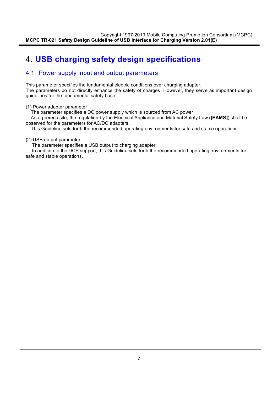## 4. **USB charging safety design specifications**

#### 4.1 Power supply input and output parameters

This parameter specifies the fundamental electric conditions over charging adapter. The parameters do not directly enhance the safety of charges. However, they serve as important design guidelines for the fundamental safety base.

#### (1) Power adapter parameter

The parameter specifies a DC power supply which is sourced from AC power.

 As a prerequisite, the regulation by the Electrical Appliance and Material Safety Law (**[EAMS]**) shall be observed for the parameters for AC/DC adapters.

This Guideline sets forth the recommended operating environments for safe and stable operations.

#### (2) USB output parameter

The parameter specifies a USB output to charging adapter.

 In addition to the DCP support, this Guideline sets forth the recommended operating environments for safe and stable operations.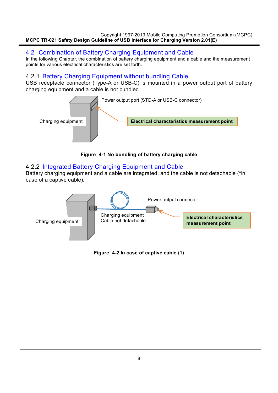#### 4.2 Combination of Battery Charging Equipment and Cable

In the following Chapter, the combination of battery charging equipment and a cable and the measurement points for various electrical characteristics are set forth.

#### 4.2.1 Battery Charging Equipment without bundling Cable

USB receptacle connector (Type-A or USB-C) is mounted in a power output port of battery charging equipment and a cable is not bundled.



**Figure 4-1 No bundling of battery charging cable**

#### 4.2.2 Integrated Battery Charging Equipment and Cable

Battery charging equipment and a cable are integrated, and the cable is not detachable (\*in case of a captive cable).



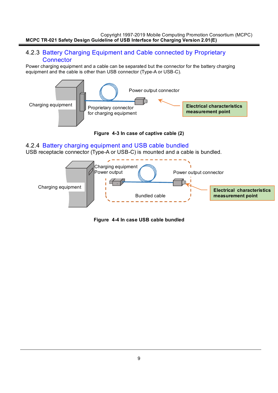#### 4.2.3 Battery Charging Equipment and Cable connected by Proprietary **Connector**

Power charging equipment and a cable can be separated but the connector for the battery charging equipment and the cable is other than USB connector (Type-A or USB-C).



**Figure 4-3 In case of captive cable (2)**

#### 4.2.4 Battery charging equipment and USB cable bundled

USB receptacle connector (Type-A or USB-C) is mounted and a cable is bundled.



**Figure 4-4 In case USB cable bundled**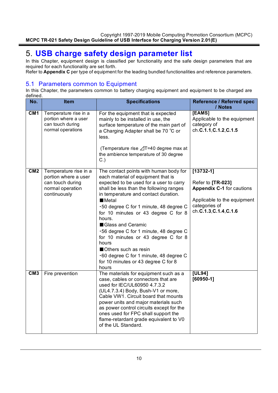## 5. **USB charge safety design parameter list**

In this Chapter, equipment design is classified per functionality and the safe design parameters that are required for each functionality are set forth.

Refer to **Appendix C** per type of equipment for the leading bundled functionalities and reference parameters.

#### 5.1 Parameters common to Equipment

In this Chapter, the parameters common to battery charging equipment and equipment to be charged are defined.

| No.             | <b>Item</b>                                                                                           | <b>Specifications</b>                                                                                                                                                                                                                                                                                                                                                                                                                                                                                                                          | Reference / Referred spec<br>/ Notes                                                                                                           |
|-----------------|-------------------------------------------------------------------------------------------------------|------------------------------------------------------------------------------------------------------------------------------------------------------------------------------------------------------------------------------------------------------------------------------------------------------------------------------------------------------------------------------------------------------------------------------------------------------------------------------------------------------------------------------------------------|------------------------------------------------------------------------------------------------------------------------------------------------|
| CM <sub>1</sub> | Temperature rise in a<br>portion where a user<br>can touch during<br>normal operations                | For the equipment that is expected<br>mainly to be installed in use, the<br>surface temperature of the main part of<br>a Charging Adapter shall be 70 °C or<br>less.<br>(Temperature rise ⊿T=40 degree max at<br>the ambience temperature of 30 degree<br>$C.$ )                                                                                                                                                                                                                                                                               | [EAMS]<br>Applicable to the equipment<br>category of<br>ch.C.1.1, C.1.2, C.1.5                                                                 |
| CM <sub>2</sub> | Temperature rise in a<br>portion where a user<br>can touch during<br>normal operation<br>continuously | The contact points with human body for<br>each material of equipment that is<br>expected to be used for a user to carry<br>shall be less than the following ranges<br>in temperature and contact duration.<br>Meta<br>.50 degree C for 1 minute, 48 degree C<br>for 10 minutes or 43 degree C for 8<br>hours.<br>Glass and Ceramic<br>.56 degree C for 1 minute, 48 degree C<br>for 10 minutes or 43 degree C for 8<br>hours<br>Others such as resin<br>.60 degree C for 1 minute, 48 degree C<br>for 10 minutes or 43 degree C for 8<br>hours | $[13732-1]$<br>Refer to [TR-023]<br><b>Appendix C-1 for cautions</b><br>Applicable to the equipment<br>categories of<br>ch.C.1.3, C.1.4, C.1.6 |
| CM <sub>3</sub> | Fire prevention                                                                                       | The materials for equipment such as a<br>case, cables or connectors that are<br>used for IEC/UL60950 4.7.3.2<br>(UL4.7.3.4) Body, Bush-V1 or more,<br>Cable VW1. Circuit board that mounts<br>power units and major materials such<br>as power control circuits except for the<br>ones used for FPC shall support the<br>flame-retardant grade equivalent to V0<br>of the UL Standard.                                                                                                                                                         | [UL94]<br>$[60950-1]$                                                                                                                          |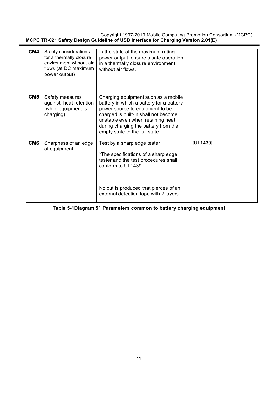| CM4             | Safety considerations<br>for a thermally closure<br>environment without air<br>flows (at DC maximum<br>power output) | In the state of the maximum rating<br>power output, ensure a safe operation<br>in a thermally closure environment<br>without air flows.                                                                                                                                   |          |
|-----------------|----------------------------------------------------------------------------------------------------------------------|---------------------------------------------------------------------------------------------------------------------------------------------------------------------------------------------------------------------------------------------------------------------------|----------|
| CM5             | Safety measures<br>against heat retention<br>(while equipment is<br>charging)                                        | Charging equipment such as a mobile<br>battery in which a battery for a battery<br>power source to equipment to be<br>charged is built-in shall not become<br>unstable even when retaining heat<br>during charging the battery from the<br>empty state to the full state. |          |
| CM <sub>6</sub> | Sharpness of an edge<br>of equipment                                                                                 | Test by a sharp edge tester<br>*The specifications of a sharp edge<br>tester and the test procedures shall<br>conform to UL1439.<br>No cut is produced that pierces of an<br>external detection tape with 2 layers.                                                       | [UL1439] |

**Table 5-1Diagram 51 Parameters common to battery charging equipment**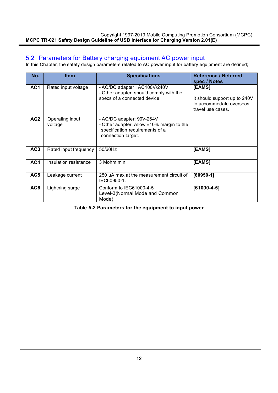#### 5.2 Parameters for Battery charging equipment AC power input

In this Chapter, the safety design parameters related to AC power input for battery equipment are defined;

| No.             | <b>Item</b>                | <b>Specifications</b>                                                                                                           | <b>Reference / Referred</b><br>spec / Notes                                            |
|-----------------|----------------------------|---------------------------------------------------------------------------------------------------------------------------------|----------------------------------------------------------------------------------------|
| AC1             | Rated input voltage        | - AC/DC adapter: AC100V/240V<br>- Other adapter: should comply with the<br>specs of a connected device.                         | [EAMS]<br>It should support up to 240V<br>to accommodate overseas<br>travel use cases. |
| AC <sub>2</sub> | Operating input<br>voltage | - AC/DC adapter: 90V-264V<br>- Other adapter: Allow ±10% margin to the<br>specification requirements of a<br>connection target. |                                                                                        |
| AC <sub>3</sub> | Rated input frequency      | 50/60Hz                                                                                                                         | [EAMS]                                                                                 |
| AC4             | Insulation resistance      | 3 Mohm min                                                                                                                      | [EAMS]                                                                                 |
| AC <sub>5</sub> | Leakage current            | 250 uA max at the measurement circuit of<br>IEC60950-1.                                                                         | $[60950-1]$                                                                            |
| AC6             | Lightning surge            | Conform to IEC61000-4-5<br>Level-3(Normal Mode and Common<br>Mode)                                                              | $[61000-4-5]$                                                                          |

**Table 5-2 Parameters for the equipment to input power**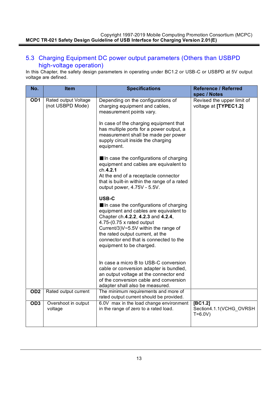#### 5.3 Charging Equipment DC power output parameters (Others than USBPD high-voltage operation)

In this Chapter, the safety design parameters in operating under BC1.2 or USB-C or USBPD at 5V output voltage are defined.

| No.             | <b>Item</b>                              | <b>Specifications</b>                                                                                                                                                                                                                                                                                                                                                                                                                                                                                                                                                                                                                                                                                                                                                                                                      | <b>Reference / Referred</b>                                         |
|-----------------|------------------------------------------|----------------------------------------------------------------------------------------------------------------------------------------------------------------------------------------------------------------------------------------------------------------------------------------------------------------------------------------------------------------------------------------------------------------------------------------------------------------------------------------------------------------------------------------------------------------------------------------------------------------------------------------------------------------------------------------------------------------------------------------------------------------------------------------------------------------------------|---------------------------------------------------------------------|
| OD <sub>1</sub> | Rated output Voltage<br>(not USBPD Mode) | Depending on the configurations of<br>charging equipment and cables,<br>measurement points vary.<br>In case of the charging equipment that<br>has multiple ports for a power output, a<br>measurement shall be made per power<br>supply circuit inside the charging<br>equipment.<br>In case the configurations of charging<br>equipment and cables are equivalent to<br>ch.4.2.1<br>At the end of a receptacle connector<br>that is built-in within the range of a rated<br>output power, 4.75V - 5.5V.<br>USB-C<br>In case the configurations of charging<br>equipment and cables are equivalent to<br>Chapter ch.4.2.2, 4.2.3 and 4.2.4,<br>4.75-(0.75 x rated output<br>Current/3)V~5.5V within the range of<br>the rated output current, at the<br>connector end that is connected to the<br>equipment to be charged. | spec / Notes<br>Revised the upper limit of<br>voltage at [TYPEC1.2] |
| OD <sub>2</sub> | Rated output current                     | In case a micro B to USB-C conversion<br>cable or conversion adapter is bundled,<br>an output voltage at the connector end<br>of the conversion cable and conversion<br>adapter shall also be measured.<br>The minimum requirements and more of                                                                                                                                                                                                                                                                                                                                                                                                                                                                                                                                                                            |                                                                     |
|                 |                                          | rated output current should be provided.                                                                                                                                                                                                                                                                                                                                                                                                                                                                                                                                                                                                                                                                                                                                                                                   |                                                                     |
| OD <sub>3</sub> | Overshoot in output<br>voltage           | 6.0V max in the load change environment<br>in the range of zero to a rated load.                                                                                                                                                                                                                                                                                                                                                                                                                                                                                                                                                                                                                                                                                                                                           | [BC1.2]<br>Section4.1.1(VCHG_OVRSH<br>$T = 6.0 V$                   |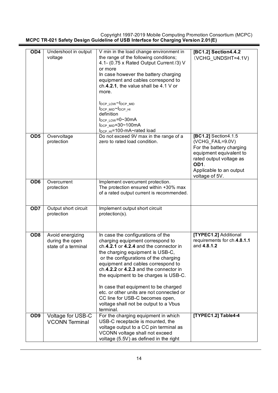| OD <sub>4</sub> | Undershoot in output<br>voltage                            | V min in the load change environment in<br>the range of the following conditions;<br>4.1- (0.75 x Rated Output Current /3) V<br>or more<br>In case however the battery charging<br>equipment and cables correspond to<br>ch.4.2.1, the value shall be $4.1 V$ or<br>more.<br>lDCP LOW~IDCP MID<br>lDCP_MID~lDCP_HI<br>definition<br>$I_{DCP LOW} = 0.30 \text{mA}$<br>l <sub>DCP MID</sub> =30~100mA<br>I <sub>DCP_HI</sub> =100-mA~rated load                                                     | [BC1.2] Section4.4.2<br>(VCHG_UNDSHT=4.1V)                                                                                                                                      |
|-----------------|------------------------------------------------------------|----------------------------------------------------------------------------------------------------------------------------------------------------------------------------------------------------------------------------------------------------------------------------------------------------------------------------------------------------------------------------------------------------------------------------------------------------------------------------------------------------|---------------------------------------------------------------------------------------------------------------------------------------------------------------------------------|
| OD <sub>5</sub> | Overvoltage<br>protection                                  | Do not exceed 9V max in the range of a<br>zero to rated load condition.                                                                                                                                                                                                                                                                                                                                                                                                                            | [BC1.2] Section4.1.5<br>(VCHG_FAIL=9.0V)<br>For the battery charging<br>equipment equivalent to<br>rated output voltage as<br>OD1.<br>Applicable to an output<br>voltage of 5V. |
| OD <sub>6</sub> | Overcurrent<br>protection                                  | Implement overcurrent protection.<br>The protection ensured within +30% max<br>of a rated output current is recommended.                                                                                                                                                                                                                                                                                                                                                                           |                                                                                                                                                                                 |
| OD <sub>7</sub> | Output short circuit<br>protection                         | Implement output short circuit<br>protection(s).                                                                                                                                                                                                                                                                                                                                                                                                                                                   |                                                                                                                                                                                 |
| OD <sub>8</sub> | Avoid energizing<br>during the open<br>state of a terminal | In case the configurations of the<br>charging equipment correspond to<br>ch.4.2.1 or 4.2.4 and the connector in<br>the charging equipment is USB-C,<br>or the configurations of the charging<br>equipment and cables correspond to<br>ch.4.2.2 or 4.2.3 and the connector in<br>the equipment to be charges is USB-C.<br>In case that equipment to be charged<br>etc. or other units are not connected or<br>CC line for USB-C becomes open,<br>voltage shall not be output to a Vbus<br>terminal. | [TYPEC1.2] Additional<br>requirements for ch.4.8.1.1<br>and 4.8.1.2                                                                                                             |
| OD <sub>9</sub> | Voltage for USB-C<br><b>VCONN Terminal</b>                 | For the charging equipment in which<br>USB-C receptacle is mounted, the<br>voltage output to a CC pin terminal as<br>VCONN voltage shall not exceed<br>voltage (5.5V) as defined in the right                                                                                                                                                                                                                                                                                                      | [TYPEC1.2] Table4-4                                                                                                                                                             |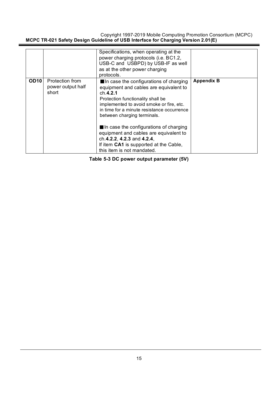|                  |                                               | Specifications, when operating at the<br>power charging protocols (i.e. BC1.2,<br>USB-C and USBPD) by USB-IF as well<br>as at the other power charging<br>protocols.                                                                                                                                                                                                                                                                                 |                   |
|------------------|-----------------------------------------------|------------------------------------------------------------------------------------------------------------------------------------------------------------------------------------------------------------------------------------------------------------------------------------------------------------------------------------------------------------------------------------------------------------------------------------------------------|-------------------|
| OD <sub>10</sub> | Protection from<br>power output half<br>short | In case the configurations of charging<br>equipment and cables are equivalent to<br>ch.4.2.1<br>Protection functionality shall be<br>implemented to avoid smoke or fire, etc.<br>in time for a minute resistance occurrence<br>between charging terminals.<br>In case the configurations of charging<br>equipment and cables are equivalent to<br>ch.4.2.2, 4.2.3 and 4.2.4,<br>If item CA1 is supported at the Cable,<br>this item is not mandated. | <b>Appendix B</b> |

**Table 5-3 DC power output parameter (5V)**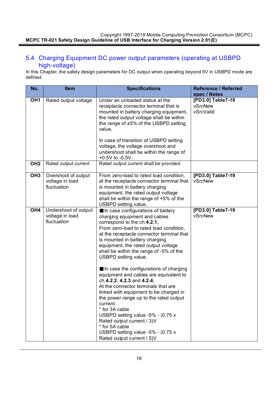#### 5.4 Charging Equipment DC power output parameters (operating at USBPD high-voltage)

In this Chapter, the safety design parameters for DC output when operating beyond 5V in USBPD mode are defined.

| No.             | <b>Item</b>                                            | <b>Specifications</b>                                                                                                                                                                                                                                                                                                                                                                                                                                                                                                                                                                                                                                                                                                                                                    | <b>Reference / Referred</b>                               |
|-----------------|--------------------------------------------------------|--------------------------------------------------------------------------------------------------------------------------------------------------------------------------------------------------------------------------------------------------------------------------------------------------------------------------------------------------------------------------------------------------------------------------------------------------------------------------------------------------------------------------------------------------------------------------------------------------------------------------------------------------------------------------------------------------------------------------------------------------------------------------|-----------------------------------------------------------|
| OH <sub>1</sub> | Rated output voltage                                   | Under an unloaded status at the<br>receptacle connector terminal that is<br>mounted in battery charging equipment,<br>the rated output voltage shall be within<br>the range of $\pm 5\%$ of the USBPD setting<br>value.<br>In case of transition of USBPD setting<br>voltage, the voltage overshoot and<br>undershoot shall be within the range of<br>$+0.5V$ to $-0.5V$ .                                                                                                                                                                                                                                                                                                                                                                                               | spec / Notes<br>[PD3.0] Table7-19<br>vSrcNew<br>vSrcValid |
| OH <sub>2</sub> | Rated output current                                   | Rated output current shall be provided.                                                                                                                                                                                                                                                                                                                                                                                                                                                                                                                                                                                                                                                                                                                                  |                                                           |
| OH <sub>3</sub> | Overshoot of output<br>voltage in load<br>fluctuation  | From zero-load to rated load condition,<br>at the receptacle connector terminal that<br>is mounted in battery charging<br>equipment, the rated output voltage<br>shall be within the range of +5% of the<br>USBPD setting value.                                                                                                                                                                                                                                                                                                                                                                                                                                                                                                                                         | [PD3.0] Table7-19<br>vSrcNew                              |
| OH <sub>4</sub> | Undershoot of output<br>voltage in load<br>fluctuation | In case configurations of battery<br>charging equipment and cables<br>correspond to the ch.4.2.1,<br>From zero-load to rated load condition,<br>at the receptacle connector terminal that<br>is mounted in battery charging<br>equipment, the rated output voltage<br>shall be within the range of -5% of the<br>USBPD setting value.<br>In case the configurations of charging<br>equipment and cables are equivalent to<br>ch.4.2.2, 4.2.3 and 4.2.4,<br>At the connector terminals that are<br>linked with equipment to be charged in<br>the power range up to the rated output<br>current.<br>* for 3A cable<br>USBPD setting value -5% - (0.75 x<br>Rated output current / 3)V<br>* for 5A cable<br>USBPD setting value -5% - (0.75 x<br>Rated output current / 5)V | [PD3.0] Table7-19<br>vSrcNew                              |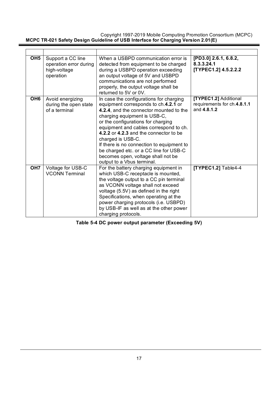| OH <sub>5</sub> | Support a CC line<br>operation error during<br>high-voltage<br>operation | When a USBPD communication error is<br>detected from equipment to be charged<br>during a USBPD operation exceeding<br>an output voltage of 5V and USBPD<br>communications are not performed<br>properly, the output voltage shall be<br>returned to 5V or 0V.                                                                                                                                                                                                        | [PD3.0] 2.6.1, 6.8.2,<br>8.3.3.24.1<br>[TYPEC1.2] 4.5.2.2.2         |
|-----------------|--------------------------------------------------------------------------|----------------------------------------------------------------------------------------------------------------------------------------------------------------------------------------------------------------------------------------------------------------------------------------------------------------------------------------------------------------------------------------------------------------------------------------------------------------------|---------------------------------------------------------------------|
| OH <sub>6</sub> | Avoid energizing<br>during the open state<br>of a terminal               | In case the configurations for charging<br>equipment corresponds to ch.4.2.1 or<br>4.2.4, and the connector mounted to the<br>charging equipment is USB-C,<br>or the configurations for charging<br>equipment and cables correspond to ch.<br>4.2.2 or 4.2.3 and the connector to be<br>charged is USB-C.<br>If there is no connection to equipment to<br>be charged etc. or a CC line for USB-C<br>becomes open, voltage shall not be<br>output to a Vbus terminal. | [TYPEC1.2] Additional<br>requirements for ch.4.8.1.1<br>and 4.8.1.2 |
| OH <sub>7</sub> | Voltage for USB-C<br><b>VCONN Terminal</b>                               | For the battery charging equipment in<br>which USB-C receptacle is mounted,<br>the voltage output to a CC pin terminal<br>as VCONN voltage shall not exceed<br>voltage (5.5V) as defined in the right<br>Specifications, when operating at the<br>power charging protocols (i.e. USBPD)<br>by USB-IF as well as at the other power<br>charging protocols.                                                                                                            | [TYPEC1.2] Table4-4                                                 |

**Table 5-4 DC power output parameter (Exceeding 5V)**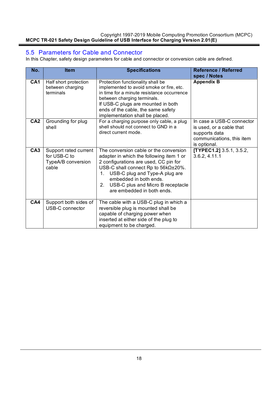#### 5.5 Parameters for Cable and Connector

In this Chapter, safety design parameters for cable and connector or conversion cable are defined.

| No.             | <b>Item</b>                                                          | <b>Specifications</b>                                                                                                                                                                                                                                                                                              | <b>Reference / Referred</b><br>spec / Notes                                                                         |
|-----------------|----------------------------------------------------------------------|--------------------------------------------------------------------------------------------------------------------------------------------------------------------------------------------------------------------------------------------------------------------------------------------------------------------|---------------------------------------------------------------------------------------------------------------------|
| CA <sub>1</sub> | Half short protection<br>between charging<br>terminals               | Protection functionality shall be<br>implemented to avoid smoke or fire, etc.<br>in time for a minute resistance occurrence<br>between charging terminals.<br>If USB-C plugs are mounted in both<br>ends of the cable, the same safety<br>implementation shall be placed.                                          | <b>Appendix B</b>                                                                                                   |
| CA <sub>2</sub> | Grounding for plug<br>shell                                          | For a charging purpose only cable, a plug<br>shell should not connect to GND in a<br>direct current mode.                                                                                                                                                                                                          | In case a USB-C connector<br>is used, or a cable that<br>supports data<br>communications, this item<br>is optional. |
| CA <sub>3</sub> | Support rated current<br>for USB-C to<br>TypeA/B conversion<br>cable | The conversion cable or the conversion<br>adapter in which the following item 1 or<br>2 configurations are used, CC pin for<br>USB-C shall connect Rp to 56kΩ±20%.<br>USB-C plug and Type-A plug are<br>1.<br>embedded in both ends.<br>USB-C plus and Micro B receptacle<br>$2_{-}$<br>are embedded in both ends. | [TYPEC1.2] 3.5.1, 3.5.2,<br>3.6.2, 4.11.1                                                                           |
| CA4             | Support both sides of<br><b>USB-C</b> connector                      | The cable with a USB-C plug in which a<br>reversible plug is mounted shall be<br>capable of charging power when<br>inserted at either side of the plug to<br>equipment to be charged.                                                                                                                              |                                                                                                                     |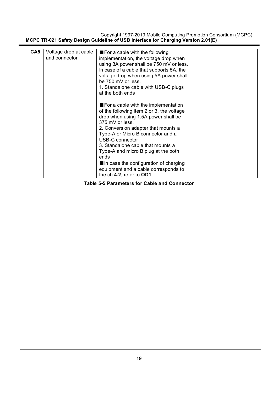| CA5 | Voltage drop at cable | $\blacksquare$ For a cable with the following |  |
|-----|-----------------------|-----------------------------------------------|--|
|     | and connector         | implementation, the voltage drop when         |  |
|     |                       | using 3A power shall be 750 mV or less.       |  |
|     |                       | In case of a cable that supports 5A, the      |  |
|     |                       | voltage drop when using 5A power shall        |  |
|     |                       | be 750 mV or less.                            |  |
|     |                       | 1. Standalone cable with USB-C plugs          |  |
|     |                       | at the both ends                              |  |
|     |                       |                                               |  |
|     |                       | ■ For a cable with the implementation         |  |
|     |                       | of the following item 2 or 3, the voltage     |  |
|     |                       | drop when using 1.5A power shall be           |  |
|     |                       | 375 mV or less.                               |  |
|     |                       | 2. Conversion adapter that mounts a           |  |
|     |                       | Type-A or Micro B connector and a             |  |
|     |                       | USB-C connector                               |  |
|     |                       | 3. Standalone cable that mounts a             |  |
|     |                       | Type-A and micro B plug at the both           |  |
|     |                       | ends                                          |  |
|     |                       | In case the configuration of charging         |  |
|     |                       | equipment and a cable corresponds to          |  |
|     |                       | the ch.4.2, refer to OD1.                     |  |

**Table 5-5 Parameters for Cable and Connector**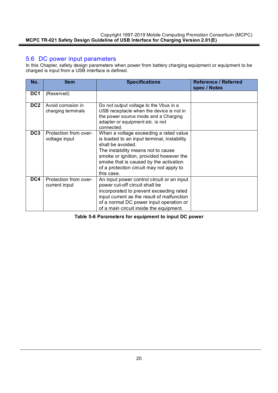#### 5.6 DC power input parameters

In this Chapter, safety design parameters when power from battery charging equipment or equipment to be charged is input from a USB interface is defined.

| No.             | <b>Item</b>                              | <b>Specifications</b>                                                                                                                                                                                                                                                                           | <b>Reference / Referred</b><br>spec / Notes |
|-----------------|------------------------------------------|-------------------------------------------------------------------------------------------------------------------------------------------------------------------------------------------------------------------------------------------------------------------------------------------------|---------------------------------------------|
| DC <sub>1</sub> | (Reserved)                               |                                                                                                                                                                                                                                                                                                 |                                             |
| DC <sub>2</sub> | Avoid corrosion in<br>charging terminals | Do not output voltage to the Vbus in a<br>USB receptacle when the device is not in<br>the power source mode and a Charging<br>adapter or equipment etc. is not<br>connected.                                                                                                                    |                                             |
| DC3             | Protection from over-<br>voltage input   | When a voltage exceeding a rated value<br>is loaded to an input terminal, instability<br>shall be avoided.<br>The instability means not to cause<br>smoke or ignition, provided however the<br>smoke that is caused by the activation<br>of a protection circuit may not apply to<br>this case. |                                             |
| DC4             | Protection from over-<br>current input   | An input power control circuit or an input<br>power cut-off circuit shall be<br>incorporated to prevent exceeding rated<br>input current as the result of malfunction<br>of a normal DC power input operation or<br>of a main circuit inside the equipment.                                     |                                             |

**Table 5-6 Parameters for equipment to input DC power**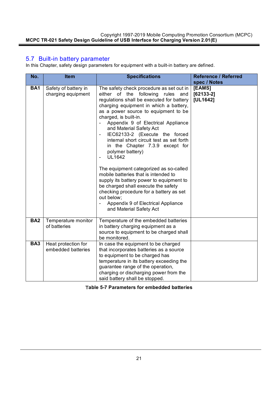#### 5.7 Built-in battery parameter

In this Chapter, safety design parameters for equipment with a built-in battery are defined.

| No.        | <b>Item</b>                                | <b>Specifications</b>                                                                                                                                                                                                                                                                                                                                                                                                                                                                                                                                                                                                                                                                                                                                                                         | <b>Reference / Referred</b><br>spec / Notes |
|------------|--------------------------------------------|-----------------------------------------------------------------------------------------------------------------------------------------------------------------------------------------------------------------------------------------------------------------------------------------------------------------------------------------------------------------------------------------------------------------------------------------------------------------------------------------------------------------------------------------------------------------------------------------------------------------------------------------------------------------------------------------------------------------------------------------------------------------------------------------------|---------------------------------------------|
| <b>BA1</b> | Safety of battery in<br>charging equipment | The safety check procedure as set out in<br>either of the following<br>rules<br>and<br>regulations shall be executed for battery<br>charging equipment in which a battery,<br>as a power source to equipment to be<br>charged, is built-in.<br>Appendix 9 of Electrical Appliance<br>and Material Safety Act<br>IEC62133-2 (Execute the forced<br>$\overline{\phantom{0}}$<br>internal short circuit test as set forth<br>in the Chapter 7.3.9 except for<br>polymer battery)<br><b>UL1642</b><br>The equipment categorized as so-called<br>mobile batteries that is intended to<br>supply its battery power to equipment to<br>be charged shall execute the safety<br>checking procedure for a battery as set<br>out below;<br>Appendix 9 of Electrical Appliance<br>and Material Safety Act | [EAMS]<br>$[62133-2]$<br>[UL1642]           |
| <b>BA2</b> | Temperature monitor<br>of batteries        | Temperature of the embedded batteries<br>in battery charging equipment as a<br>source to equipment to be charged shall<br>be monitored.                                                                                                                                                                                                                                                                                                                                                                                                                                                                                                                                                                                                                                                       |                                             |
| <b>BA3</b> | Heat protection for<br>embedded batteries  | In case the equipment to be charged<br>that incorporates batteries as a source<br>to equipment to be charged has<br>temperature in its battery exceeding the<br>guarantee range of the operation,<br>charging or discharging power from the<br>said battery shall be stopped.                                                                                                                                                                                                                                                                                                                                                                                                                                                                                                                 |                                             |

T**able 5-7 Parameters for embedded batteries**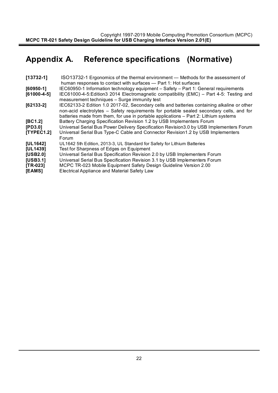## **Appendix A. Reference specifications (Normative)**

| $[13732-1]$     | ISO13732-1 Ergonomics of the thermal environment — Methods for the assessment of                                                                                                                                                                                               |
|-----------------|--------------------------------------------------------------------------------------------------------------------------------------------------------------------------------------------------------------------------------------------------------------------------------|
|                 | human responses to contact with surfaces - Part 1: Hot surfaces                                                                                                                                                                                                                |
| $[60950-1]$     | IEC60950-1 Information technology equipment - Safety - Part 1: General requirements                                                                                                                                                                                            |
| $[61000-4-5]$   | IEC61000-4-5: Edition 3 2014 Electromagnetic compatibility (EMC) – Part 4-5: Testing and<br>measurement techniques - Surge immunity test                                                                                                                                       |
| $[62133-2]$     | IEC62133-2 Edition 1.0 2017-02, Secondary cells and batteries containing alkaline or other<br>non-acid electrolytes – Safety requirements for portable sealed secondary cells, and for<br>batteries made from them, for use in portable applications – Part 2: Lithium systems |
| [BC1.2]         | Battery Charging Specification Revision 1.2 by USB Implementers Forum                                                                                                                                                                                                          |
| [PD3.0]         | Universal Serial Bus Power Delivery Specification Revision 3.0 by USB Implementers Forum                                                                                                                                                                                       |
| [TYPEC1.2]      | Universal Serial Bus Type-C Cable and Connector Revision 1.2 by USB Implementers<br>Forum                                                                                                                                                                                      |
| <b>[UL1642]</b> | UL1642 5th Edition, 2013-3, UL Standard for Safety for Lithium Batteries                                                                                                                                                                                                       |
| [UL1439]        | Test for Sharpness of Edges on Equipment                                                                                                                                                                                                                                       |
| [USB2.0]        | Universal Serial Bus Specification Revision 2.0 by USB Implementers Forum                                                                                                                                                                                                      |
| [USB3.1]        | Universal Serial Bus Specification Revision 3.1 by USB Implementers Forum                                                                                                                                                                                                      |
| $[TR-023]$      | MCPC TR-023 Mobile Equipment Safety Design Guideline Version 2.00                                                                                                                                                                                                              |
| <b>[EAMS]</b>   | Electrical Appliance and Material Safety Law                                                                                                                                                                                                                                   |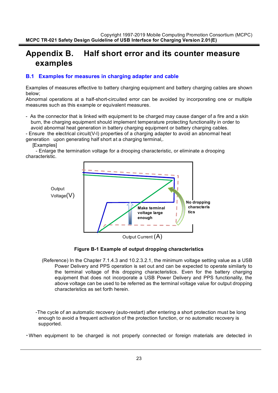### **Appendix B. Half short error and its counter measure examples**

#### **B.1 Examples for measures in charging adapter and cable**

Examples of measures effective to battery charging equipment and battery charging cables are shown below;

Abnormal operations at a half-short-circuited error can be avoided by incorporating one or multiple measures such as this example or equivalent measures.

- As the connector that is linked with equipment to be charged may cause danger of a fire and a skin burn, the charging equipment should implement temperature protecting functionality in order to avoid abnormal heat generation in battery charging equipment or battery charging cables.

- Ensure the electrical circuit(V-I) properties of a charging adapter to avoid an abnormal heat generation upon generating half short at a charging terminal,.

#### **[Examples]**

- Enlarge the termination voltage for a drooping characteristic, or eliminate a drooping characteristic.



#### **Figure B-1 Example of output dropping characteristics**

(Reference) In the Chapter 7.1.4.3 and 10.2.3.2.1, the minimum voltage setting value as a USB Power Delivery and PPS operation is set out and can be expected to operate similarly to the terminal voltage of this dropping characteristics. Even for the battery charging equipment that does not incorporate a USB Power Delivery and PPS functionality, the above voltage can be used to be referred as the terminal voltage value for output dropping characteristics as set forth herein.

 -The cycle of an automatic recovery (auto-restart) after entering a short protection must be long enough to avoid a frequent activation of the protection function, or no automatic recovery is supported.

・When equipment to be charged is not properly connected or foreign materials are detected in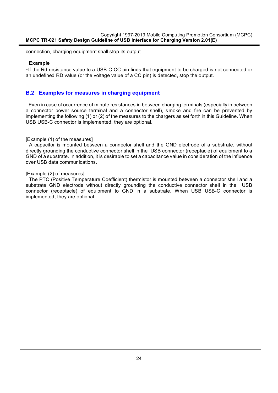connection, charging equipment shall stop its output.

#### **Example**

・If the Rd resistance value to a USB-C CC pin finds that equipment to be charged is not connected or an undefined RD value (or the voltage value of a CC pin) is detected, stop the output.

#### **B.2 Examples for measures in charging equipment**

- Even in case of occurrence of minute resistances in between charging terminals (especially in between a connector power source terminal and a connector shell), smoke and fire can be prevented by implementing the following (1) or (2) of the measures to the chargers as set forth in this Guideline. When USB USB-C connector is implemented, they are optional.

#### [Example (1) of the measures]

A capacitor is mounted between a connector shell and the GND electrode of a substrate, without directly grounding the conductive connector shell in the USB connector (receptacle) of equipment to a GND of a substrate. In addition, it is desirable to set a capacitance value in consideration of the influence over USB data communications.

#### [Example (2) of measures]

The PTC (Positive Temperature Coefficient) thermistor is mounted between a connector shell and a substrate GND electrode without directly grounding the conductive connector shell in the USB connector (receptacle) of equipment to GND in a substrate, When USB USB-C connector is implemented, they are optional.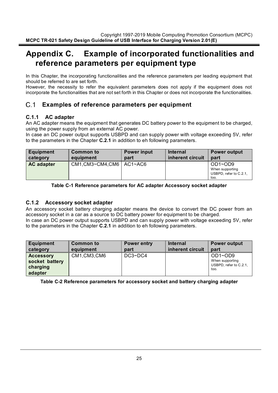### **Appendix C. Example of incorporated functionalities and reference parameters per equipment type**

In this Chapter, the incorporating functionalities and the reference parameters per leading equipment that should be referred to are set forth.

However, the necessity to refer the equivalent parameters does not apply if the equipment does not incorporate the functionalities that are not set forth in this Chapter or does not incorporate the functionalities.

#### $C.1$ **Examples of reference parameters per equipment**

#### **C.1.1 AC adapter**

An AC adapter means the equipment that generates DC battery power to the equipment to be charged, using the power supply from an external AC power.

In case an DC power output supports USBPD and can supply power with voltage exceeding 5V, refer to the parameters in the Chapter **C.2.1** in addition to eh following parameters.

| <b>Equipment</b>  | Common to                      | <b>Power input</b> | <b>Internal</b>  | <b>Power output</b>                                                 |
|-------------------|--------------------------------|--------------------|------------------|---------------------------------------------------------------------|
| category          | equipment                      | part               | inherent circuit | part                                                                |
| <b>AC adapter</b> | $CM1$ , CM3~CM4, CM6   AC1~AC6 |                    |                  | $OD1 \sim OD9$<br>When supporting<br>USBPD, refer to C.2.1,<br>too. |

#### **Table C-1 Reference parameters for AC adapter Accessory socket adapter**

#### **C.1.2 Accessory socket adapter**

An accessory socket battery charging adapter means the device to convert the DC power from an accessory socket in a car as a source to DC battery power for equipment to be charged. In case an DC power output supports USBPD and can supply power with voltage exceeding 5V, refer to the parameters in the Chapter **C.2.1** in addition to eh following parameters.

| <b>Equipment</b>                                   | <b>Common to</b> | Power entry   | <b>Internal</b>  | <b>Power output</b>                                          |
|----------------------------------------------------|------------------|---------------|------------------|--------------------------------------------------------------|
| category                                           | equipment        | part          | inherent circuit | part                                                         |
| Accessory<br>socket battery<br>charging<br>adapter | CM1,CM3,CM6      | $DC3\neg DCA$ |                  | OD1~OD9<br>When supporting<br>USBPD, refer to C.2.1,<br>too. |

**Table C-2 Reference parameters for accessory socket and battery charging adapter**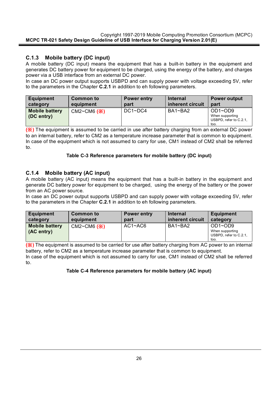#### **C.1.3 Mobile battery (DC input)**

A mobile battery (DC input) means the equipment that has a built-in battery in the equipment and generates DC battery power for equipment to be charged, using the energy of the battery, and charges power via a USB interface from an external DC power.

In case an DC power output supports USBPD and can supply power with voltage exceeding 5V, refer to the parameters in the Chapter **C.2.1** in addition to eh following parameters.

| <b>Equipment</b>                    | Common to                | Power entry   | <b>Internal</b>  | <b>Power output</b>                                          |
|-------------------------------------|--------------------------|---------------|------------------|--------------------------------------------------------------|
| category                            | equipment                | part          | inherent circuit | part                                                         |
| <b>Mobile battery</b><br>(DC entry) | $CM2~CM6$ $(\mathbb{X})$ | $DC1\neg DCA$ | BA1~BA2          | OD1~OD9<br>When supporting<br>USBPD, refer to C.2.1,<br>too. |

**(**※**)** The equipment is assumed to be carried in use after battery charging from an external DC power to an internal battery, refer to CM2 as a temperature increase parameter that is common to equipment. In case of the equipment which is not assumed to carry for use, CM1 instead of CM2 shall be referred to.

#### **Table C-3 Reference parameters for mobile battery (DC input)**

#### **C.1.4 Mobile battery (AC input)**

A mobile battery (AC input) means the equipment that has a built-in battery in the equipment and generate DC battery power for equipment to be charged, using the energy of the battery or the power from an AC power source.

In case an DC power output supports USBPD and can supply power with voltage exceeding 5V, refer to the parameters in the Chapter **C.2.1** in addition to eh following parameters.

| <b>Equipment</b>                    | Common to        | Power entry | Internal         | <b>Equipment</b>                                             |
|-------------------------------------|------------------|-------------|------------------|--------------------------------------------------------------|
| category                            | equipment        | part        | inherent circuit | category                                                     |
| <b>Mobile battery</b><br>(AC entry) | $CM2~CM6$ $(\%)$ | $AC1 - AC6$ | BA1~BA2          | OD1~OD9<br>When supporting<br>USBPD, refer to C.2.1,<br>too. |

**(**※**)** The equipment is assumed to be carried for use after battery charging from AC power to an internal battery, refer to CM2 as a temperature increase parameter that is common to equipment.

In case of the equipment which is not assumed to carry for use, CM1 instead of CM2 shall be referred to.

#### **Table C-4 Reference parameters for mobile battery (AC input)**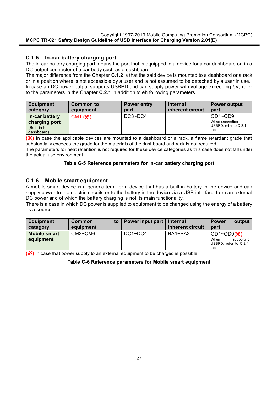#### **C.1.5 In-car battery charging port**

The in-car battery charging port means the port that is equipped in a device for a car dashboard or in a DC output connector of a car body such as a dashboard.

The major difference from the Chapter **C.1.2** is that the said device is mounted to a dashboard or a rack or in a position where is not accessible by a user and is not assumed to be detached by a user in use. In case an DC power output supports USBPD and can supply power with voltage exceeding 5V, refer to the parameters in the Chapter **C.2.1** in addition to eh following parameters.

| Equipment                                                     | Common to | Power entry   | <b>Internal</b>  | <b>Power output</b>                                                 |
|---------------------------------------------------------------|-----------|---------------|------------------|---------------------------------------------------------------------|
| category                                                      | equipment | part          | inherent circuit | part                                                                |
| In-car battery<br>charging port<br>(Built-in to<br>dashboard) | CM1 (※)   | $DC3\neg DCA$ |                  | $OD1 \sim OD9$<br>When supporting<br>USBPD, refer to C.2.1,<br>too. |

**(**※**)** In case the applicable devices are mounted to a dashboard or a rack, a flame retardant grade that substantially exceeds the grade for the materials of the dashboard and rack is not required.

The parameters for heat retention is not required for these device categories as this case does not fall under the actual use environment.

#### **Table C-5 Reference parameters for in-car battery charging port**

#### **C.1.6 Mobile smart equipment**

A mobile smart device is a generic term for a device that has a built-in battery in the device and can supply power to the electric circuits or to the battery in the device via a USB interface from an external DC power and of which the battery charging is not its main functionality.

There is a case in which DC power is supplied to equipment to be changed using the energy of a battery as a source.

| <b>Equipment</b><br>category     | Common<br>to<br>equipment | <b>Power input part</b> | <b>Internal</b><br>inherent circuit | output<br><b>Power</b><br>part                                                       |
|----------------------------------|---------------------------|-------------------------|-------------------------------------|--------------------------------------------------------------------------------------|
| <b>Mobile smart</b><br>equipment | CM2~CM6                   | $DC1\neg DCA$           | BA1~BA2                             | $OD1 \sim OD9$ ( $\chi$ )<br>When<br>supporting<br>USBPD, refer to $C.2.1$ ,<br>too. |

**(**※**)** In case that power supply to an external equipment to be charged is possible.

#### **Table C-6 Reference parameters for Mobile smart equipment**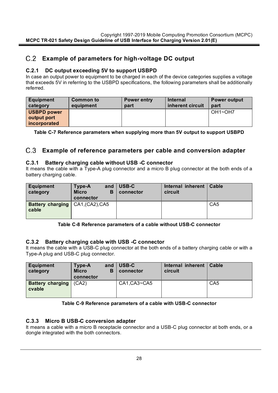#### **Example of parameters for high-voltage DC output**

#### **C.2.1 DC output exceeding 5V to support USBPD**

In case an output power to equipment to be charged in each of the device categories supplies a voltage that exceeds 5V in referring to the USBPD specifications, the following parameters shall be additionally referred.

| <b>Equipment</b><br>category | Common to<br>equipment | Power entry<br>part | <b>Internal</b><br>inherent circuit | <b>Power output</b><br>part      |
|------------------------------|------------------------|---------------------|-------------------------------------|----------------------------------|
| <b>USBPD power</b>           |                        |                     |                                     | OH <sub>1</sub> ~OH <sub>7</sub> |
| output port                  |                        |                     |                                     |                                  |
| incorporated                 |                        |                     |                                     |                                  |

**Table C-7 Reference parameters when supplying more than 5V output to support USBPD**

#### **Example of reference parameters per cable and conversion adapter**

#### **C.3.1 Battery charging cable without USB -C connector**

It means the cable with a Type-A plug connector and a micro B plug connector at the both ends of a battery charging cable.

| <b>Equipment</b><br>category                       | Type-A<br>and<br>в<br><b>Micro</b><br>connector | USB-C<br>connector | Internal inherent<br>circuit | Cable           |
|----------------------------------------------------|-------------------------------------------------|--------------------|------------------------------|-----------------|
| <b>Battery charging</b>   CA1, (CA2), CA5<br>cable |                                                 |                    |                              | CA <sub>5</sub> |

**Table C-8 Reference parameters of a cable without USB-C connector**

#### **C.3.2 Battery charging cable with USB -C connector**

It means the cable with a USB-C plug connector at the both ends of a battery charging cable or with a Type-A plug and USB-C plug connector.

| Equipment<br>category             | Type-A<br><b>Micro</b><br>connector | and<br>B | USB-C<br>connector | Internal inherent<br>circuit | <b>Cable</b>    |
|-----------------------------------|-------------------------------------|----------|--------------------|------------------------------|-----------------|
| <b>Battery charging</b><br>cvable | (CA2)                               |          | CA1.CA3~CA5        |                              | CA <sub>5</sub> |

#### **Table C-9 Reference parameters of a cable with USB-C connector**

#### **C.3.3 Micro B USB-C conversion adapter**

It means a cable with a micro B receptacle connector and a USB-C plug connector at both ends, or a dongle integrated with the both connectors.